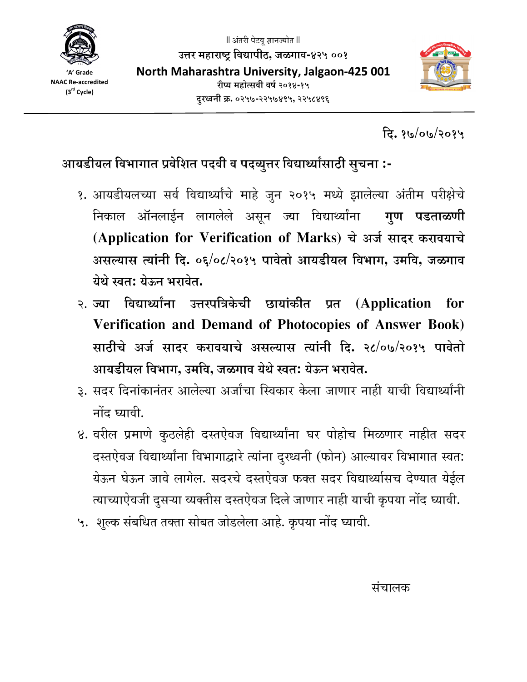



<u>टि. १७/0७/२०१५</u>

आयडीयल विभागात प्रवेशित पदवी व पदव्युत्तर विद्यार्थ्यांसाठी सुचना :-

- <u>१. आयडीयलच्या सर्व विद्यार्थ्यांचे माहे ज</u>ुन २०१५ मध्ये झालेल्या अंतीम परीक्षेचे निकाल ऑनलाईन लागलेले असून ज्या विद्यार्थ्यांना **गुण पडताळणी** *(Application for Verification of Marks)* चे अर्ज सादर करावयाचे असल्यास त्यांनी दि. ०६/०८/२०१५ पावेतो आयडीयल विभाग, उमवि, जळगाव <u>येथे स्वत: येऊन भरावेत.</u>
- २. ज्या विद्यार्थ्यांना उत्तरपत्रिकेची छायांकीत प्रत (Application for **Verification and Demand of Photocopies of Answer Book)**  त्राठीचे अर्ज सादर करावयाचे असल्यास त्यांनी दि. २८/०७/२०१५ पावेतो आयडीयल विभाग, उमवि, जळगाव येथे स्वत: येऊन भरावेत*.*
- 3. सदर दिनांकानंतर आलेल्या अर्जांचा स्विकार केला जाणार नाही याची विद्यार्थ्यांनी नोंद घ्यावी.
- ४. वरील प्रमाणे कुठलेही दस्तऐवज विद्यार्थ्यांना घर पोहोच मिळणार नाहीत सदर दस्तऐवज विद्यार्थ्यांना विभागाद्वारे त्यांना दुरध्वनी (फोन) आल्यावर विभागात स्वत: येऊन घेऊन जावे लागेल. सदरचे दस्तऐवज फक्त सदर विद्यार्थ्यासच देण्यात येईल त्याच्याऐवजी दुसऱ्या व्यक्तीस दस्तऐवज दिले जाणार नाही याची कृपया नोंद घ्यावी.
- 5. शुल्क संबधित तक्ता सोबत जोडलेला आहे. कृपया नोंद घ्यावी.

संचालक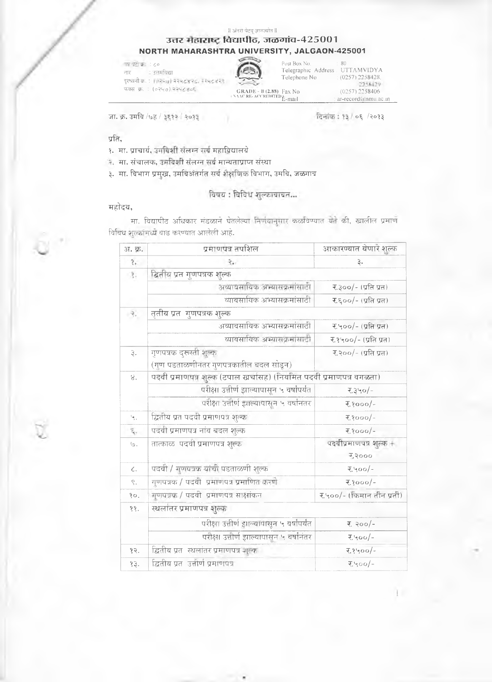## Il अंतरी पेटवू ज्ञानज्योत Il उत्तर मेहाराष्ट्र विद्यापीठ, जळगांव-425001 NORTH MAHARASHTRA UNIVERSITY, JALGAON-425001

市图本:60

फक्स क्र. : (0२५७) २२५८४०६

**GRADE - B (2.88)** Fax No<br>SAACRE-ACCREDITED E-mail

Post Box No.  $80\,$ Telegraphic Address UTTAMVIDYA Telephone No  $(0257) 2258428$ ,

2258429  $(0257)$  2258406

 $ar-record(\omega)$ nmu.ac.in

दिनांक : १३ / ०६ /२०१३

जा. क्र. उमचि /७ह / ३६१२ / २०१३

प्रति.

- १. मा. प्राचार्य, उमविशी संलग्न सर्व महाविद्यालये
- -. मा. संचालक, उमविशी संलग्न सर्व मान्यताप्राप्त संस्था
- ३. मा. विभाग प्रमुख, उमविअंतर्गत सर्व शैक्षणिक विभाग, उमवि, जळगाव

# विषय : विविध शुल्काबाबत...

महोदय,

मा. विद्यापीठ अधिकार मंडळाने घेतलेल्या निर्णयानुसार कळविण्यात येते की, खालील प्रमाण विविध भूल्कांमध्ये वाढ करण्यात आलेली आहे.

| अ. क्र.                              | प्रमाणपत्र तपशिल                                                    | आकारण्यात येणारं शल्क     |  |  |
|--------------------------------------|---------------------------------------------------------------------|---------------------------|--|--|
| $\mathcal{N}$                        | $\mathcal{R}_{\text{int}}$                                          | રૂ.                       |  |  |
| $\mathcal{X}_t$                      | द्धितीय प्रत गुणपत्रक शुल्क                                         |                           |  |  |
|                                      | अव्यावसायिक अभ्यासक्रमांसाठी                                        | र.३००/- (प्रति प्रत)      |  |  |
|                                      | व्यावसायिक अभ्यासक्रमांसाठी                                         | र.६००/- (प्रति प्रत)      |  |  |
| $\mathcal{R}_{\mathcal{C}}$          | तृतीय प्रत-गुणपत्रक शुल्क                                           |                           |  |  |
|                                      | अव्यावसायिक अभ्यासक्रमांसाठो                                        | र.५००/- (प्रति प्रत)      |  |  |
|                                      | व्यावसायिक अभ्यासक्रमांसाडी                                         | र.१५००/- (प्रति प्रत)     |  |  |
| ३.                                   | गुणपत्रक दुरूस्ती शुल्क                                             | र.२००/- (प्रति प्रत)      |  |  |
|                                      | (गण पडताळणीनंतर गुणपत्रकातील बदल सोडून)                             |                           |  |  |
| 8.                                   | पदवी प्रमाणपत्र शुल्क (टपाल खर्चासह) (नियमित पदवी प्रमाणपत्र वगळता) |                           |  |  |
|                                      | परीक्षा उत्तीर्ण झाल्यापासून ५ वर्षांपर्यंत                         | र.३५०/-                   |  |  |
|                                      | परीक्षा उत्तीर्ण झाल्यापासन ५ वर्षांनंतर                            | モ3000/-                   |  |  |
| Ч.                                   | द्धितीय प्रत पदवी प्रमाणपत्र शुल्क                                  | र.१०००/-                  |  |  |
| $\overline{\mathbf{q}}_{\mathbf{y}}$ | पदवी प्रमाणपत्र नांव बदल शुल्क                                      | र.१०००/-                  |  |  |
| $\circ$ .                            | तात्काळ पदवी प्रमाणपत्र शुल्क                                       | पदवीप्रमाणपत्र शुल्क +    |  |  |
|                                      |                                                                     | <b>IS000</b>              |  |  |
| $\zeta$ .                            | पदवो / गुणपत्रक यांची पडताळणी शुल्क                                 | $-1004.5$                 |  |  |
| $\mathcal{S}$ .                      | गुणपत्रक / पदवी प्रमाणपत्र प्रमाणित करणी                            | र.१०००/-                  |  |  |
| $\sqrt{2}$ .                         | गुणपत्रक / पदवी प्रमाणपत्र साक्षांकन                                | र.५००/- (किमान तीन प्रती) |  |  |
| $\xi$ ?.                             | स्थलांतर प्रमाणपत्र शुल्क                                           |                           |  |  |
|                                      | परीक्षा उत्तीर्ण झाल्यापासून ५ वर्षांपर्यंत                         | र. २००/-                  |  |  |
|                                      | परीक्षा उत्तोर्ण झाल्यापासून ५ वर्षांनंतर                           | र,५००/-                   |  |  |
| $\varsigma$                          | द्धितीय प्रत-स्थलांतर प्रमाणपत्र शल्क                               | र.१५००/-                  |  |  |
| $\mathcal{E}$                        | द्धितीय प्रत-उत्तीर्ण प्रमाणपत्र                                    | र.५००/-                   |  |  |